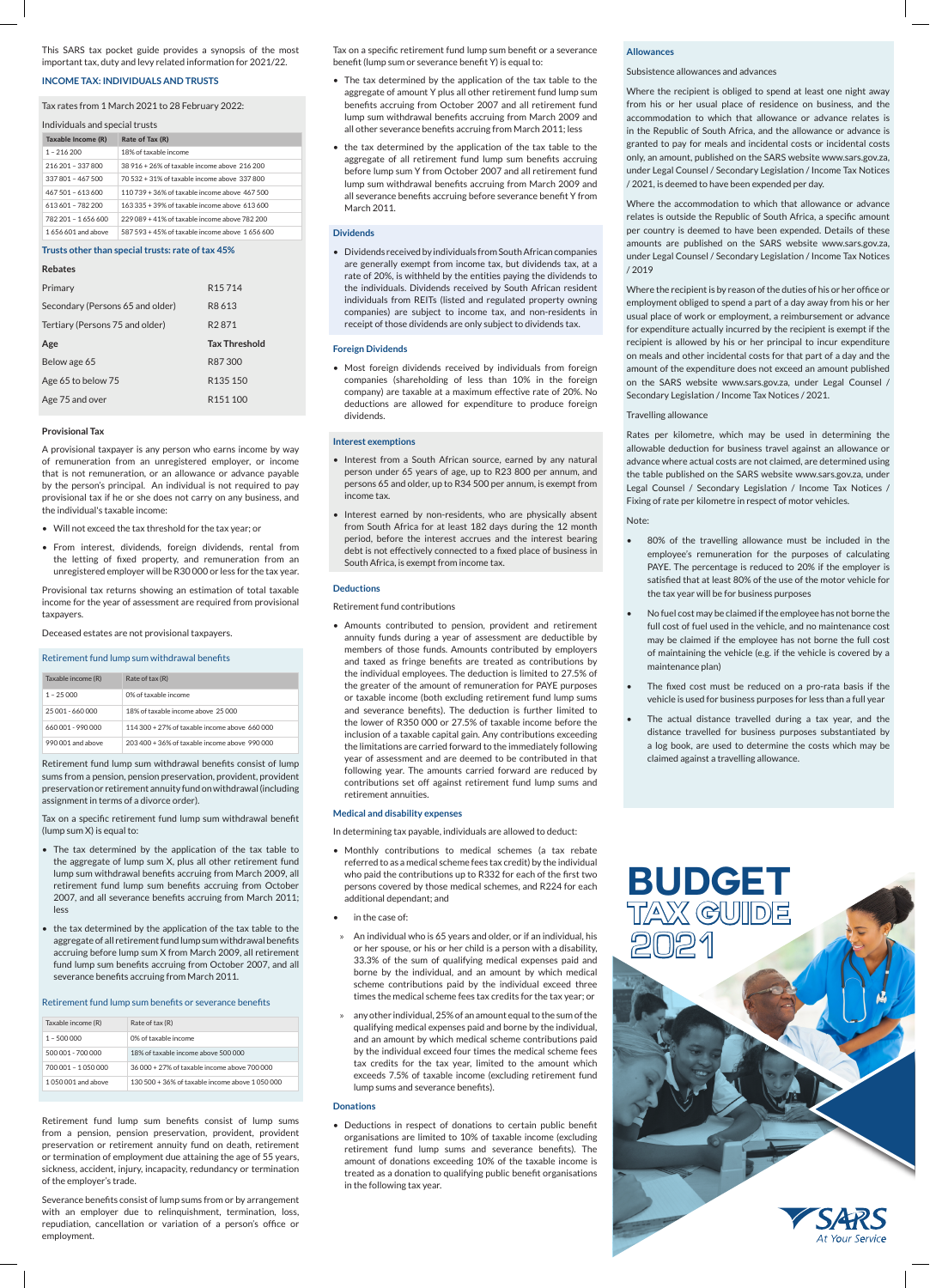This SARS tax pocket guide provides a synopsis of the most important tax, duty and levy related information for 2021/22.

# **INCOME TAX: INDIVIDUALS AND TRUSTS**

# Tax rates from 1 March 2021 to 28 February 2022:

| Individuals and special trusts |                                                   |  |
|--------------------------------|---------------------------------------------------|--|
| Taxable Income (R)             | Rate of Tax (R)                                   |  |
| $1 - 216200$                   | 18% of taxable income                             |  |
| 216 201 - 337 800              | 38 916 + 26% of taxable income above 216 200      |  |
| 337 801 - 467 500              | 70 532 + 31% of taxable income above 337 800      |  |
| 467 501 - 613 600              | 110 739 + 36% of taxable income above 467 500     |  |
| 613601 - 782 200               | 163 335 + 39% of taxable income above 613 600     |  |
| 782 201 - 1656 600             | 229 089 + 41% of taxable income above 782 200     |  |
| 1656601 and above              | 587 593 + 45% of taxable income above 1 656 600   |  |
|                                | Trusts other than special trusts: rate of tax 45% |  |

| <b>Rebates</b>                   |                      |
|----------------------------------|----------------------|
| Primary                          | R <sub>15</sub> 714  |
| Secondary (Persons 65 and older) | R <sub>8</sub> 613   |
| Tertiary (Persons 75 and older)  | R <sub>2</sub> 871   |
|                                  |                      |
| Age                              | <b>Tax Threshold</b> |
| Below age 65                     | R87300               |
| Age 65 to below 75               | R <sub>135</sub> 150 |

#### **Provisional Tax**

A provisional taxpayer is any person who earns income by way of remuneration from an unregistered employer, or income that is not remuneration, or an allowance or advance payable by the person's principal. An individual is not required to pay provisional tax if he or she does not carry on any business, and the individual's taxable income:

- • Will not exceed the tax threshold for the tax year; or
- • From interest, dividends, foreign dividends, rental from the letting of fixed property, and remuneration from an unregistered employer will be R30 000 or less for the tax year.

Provisional tax returns showing an estimation of total taxable income for the year of assessment are required from provisional taxpayers.

Deceased estates are not provisional taxpayers.

#### Retirement fund lump sum withdrawal benefits

| Taxable income (R) | Rate of tax (R)                                  |
|--------------------|--------------------------------------------------|
| $1 - 25000$        | 0% of taxable income                             |
| 25.001 - 660.000   | 18% of taxable income above 25,000               |
| 660,001 - 990,000  | $114.300 + 27\%$ of taxable income above 660,000 |
| 990,001 and above  | 203 400 + 36% of taxable income above 990 000    |

Retirement fund lump sum withdrawal benefits consist of lump sums from a pension, pension preservation, provident, provident preservation or retirement annuity fund on withdrawal (including assignment in terms of a divorce order).

Tax on a specific retirement fund lump sum withdrawal benefit (lump sum X) is equal to:

- The tax determined by the application of the tax table to the aggregate of lump sum X, plus all other retirement fund lump sum withdrawal benefits accruing from March 2009, all retirement fund lump sum benefits accruing from October 2007, and all severance benefits accruing from March 2011; less
- the tax determined by the application of the tax table to the aggregate of all retirement fund lump sum withdrawal benefits accruing before lump sum X from March 2009, all retirement fund lump sum benefits accruing from October 2007, and all severance benefits accruing from March 2011.

#### Retirement fund lump sum benefits or severance benefits

| Taxable income (R)  | Rate of tax (R)                                 |
|---------------------|-------------------------------------------------|
| $1 - 500000$        | 0% of taxable income                            |
| 500.001 - 700.000   | 18% of taxable income above 500 000             |
| 700.001 - 1.050.000 | 36,000 + 27% of taxable income above 700,000    |
| 1.050.001 and above | 130 500 + 36% of taxable income above 1 050 000 |

Retirement fund lump sum benefits consist of lump sums from a pension, pension preservation, provident, provident preservation or retirement annuity fund on death, retirement or termination of employment due attaining the age of 55 years, sickness, accident, injury, incapacity, redundancy or termination of the employer's trade.

Severance benefits consist of lump sums from or by arrangement with an employer due to relinquishment, termination, loss, repudiation, cancellation or variation of a person's office or employment.

Tax on a specific retirement fund lump sum benefit or a severance benefit (lump sum or severance benefit Y) is equal to:

- The tax determined by the application of the tax table to the aggregate of amount Y plus all other retirement fund lump sum benefits accruing from October 2007 and all retirement fund lump sum withdrawal benefits accruing from March 2009 and all other severance benefits accruing from March 2011; less
- the tax determined by the application of the tax table to the aggregate of all retirement fund lump sum benefits accruing before lump sum Y from October 2007 and all retirement fund lump sum withdrawal benefits accruing from March 2009 and all severance benefits accruing before severance benefit Y from March 2011.

# **Dividends**

• Dividends receivedby individuals fromSouthAfricancompanies are generally exempt from income tax, but dividends tax, at a rate of 20%, is withheld by the entities paying the dividends to the individuals. Dividends received by South African resident individuals from REITs (listed and regulated property owning companies) are subject to income tax, and non-residents in receipt of those dividends are only subject to dividends tax.

# **Foreign Dividends**

• Most foreign dividends received by individuals from foreign companies (shareholding of less than 10% in the foreign company) are taxable at a maximum effective rate of 20%. No deductions are allowed for expenditure to produce foreign dividends.

#### **Interest exemptions**

- Interest from a South African source, earned by any natural person under 65 years of age, up to R23 800 per annum, and persons 65 and older, up to R34 500 per annum, is exempt from income tax.
- Interest earned by non-residents, who are physically absent from South Africa for at least 182 days during the 12 month period, before the interest accrues and the interest bearing debt is not effectively connected to a fixed place of business in South Africa, is exempt from income tax.

#### **Deductions**

Retirement fund contributions

• Amounts contributed to pension, provident and retirement annuity funds during a year of assessment are deductible by members of those funds. Amounts contributed by employers and taxed as fringe benefits are treated as contributions by the individual employees. The deduction is limited to 27.5% of the greater of the amount of remuneration for PAYE purposes or taxable income (both excluding retirement fund lump sums and severance benefits). The deduction is further limited to the lower of R350 000 or 27.5% of taxable income before the inclusion of a taxable capital gain. Any contributions exceeding the limitations are carried forward to the immediately following year of assessment and are deemed to be contributed in that following year. The amounts carried forward are reduced by contributions set off against retirement fund lump sums and retirement annuities.

# **Medical and disability expenses**

In determining tax payable, individuals are allowed to deduct:

- • Monthly contributions to medical schemes (a tax rebate referred to as a medical scheme fees tax credit) by the individual who paid the contributions up to R332 for each of the first two persons covered by those medical schemes, and R224 for each additional dependant; and
- in the case of:
- » An individual who is 65 years and older, or if an individual, his or her spouse, or his or her child is a person with a disability, 33.3% of the sum of qualifying medical expenses paid and borne by the individual, and an amount by which medical scheme contributions paid by the individual exceed three times the medical scheme fees tax credits for the tax year; or
- » any other individual, 25% of an amount equal to the sum of the qualifying medical expenses paid and borne by the individual, and an amount by which medical scheme contributions paid by the individual exceed four times the medical scheme fees tax credits for the tax year, limited to the amount which exceeds 7.5% of taxable income (excluding retirement fund lump sums and severance benefits).

#### **Donations**

• Deductions in respect of donations to certain public benefit organisations are limited to 10% of taxable income (excluding retirement fund lump sums and severance benefits). The amount of donations exceeding 10% of the taxable income is treated as a donation to qualifying public benefit organisations in the following tax year.

# **Allowances**

# Subsistence allowances and advances

Where the recipient is obliged to spend at least one night away from his or her usual place of residence on business, and the accommodation to which that allowance or advance relates is in the Republic of South Africa, and the allowance or advance is granted to pay for meals and incidental costs or incidental costs only, an amount, published on the SARS website www.sars.gov.za, under Legal Counsel / Secondary Legislation / Income Tax Notices / 2021, is deemed to have been expended per day.

Where the accommodation to which that allowance or advance relates is outside the Republic of South Africa, a specific amount per country is deemed to have been expended. Details of these amounts are published on the SARS website www.sars.gov.za, under Legal Counsel / Secondary Legislation / Income Tax Notices / 2019

Where the recipient is by reason of the duties of his or her office or employment obliged to spend a part of a day away from his or her usual place of work or employment, a reimbursement or advance for expenditure actually incurred by the recipient is exempt if the recipient is allowed by his or her principal to incur expenditure on meals and other incidental costs for that part of a day and the amount of the expenditure does not exceed an amount published on the SARS website www.sars.gov.za, under Legal Counsel / Secondary Legislation / Income Tax Notices / 2021.

# Travelling allowance

Rates per kilometre, which may be used in determining the allowable deduction for business travel against an allowance or advance where actual costs are not claimed, are determined using the table published on the SARS website www.sars.gov.za, under Legal Counsel / Secondary Legislation / Income Tax Notices / Fixing of rate per kilometre in respect of motor vehicles.

# Note:

- 80% of the travelling allowance must be included in the employee's remuneration for the purposes of calculating PAYE. The percentage is reduced to 20% if the employer is satisfied that at least 80% of the use of the motor vehicle for the tax year will be for business purposes
- No fuel cost may be claimed if the employee has not borne the full cost of fuel used in the vehicle, and no maintenance cost may be claimed if the employee has not borne the full cost of maintaining the vehicle (e.g. if the vehicle is covered by a maintenance plan)
- The fixed cost must be reduced on a pro-rata basis if the vehicle is used for business purposes for less than a full year
- The actual distance travelled during a tax year, and the distance travelled for business purposes substantiated by a log book, are used to determine the costs which may be claimed against a travelling allowance.